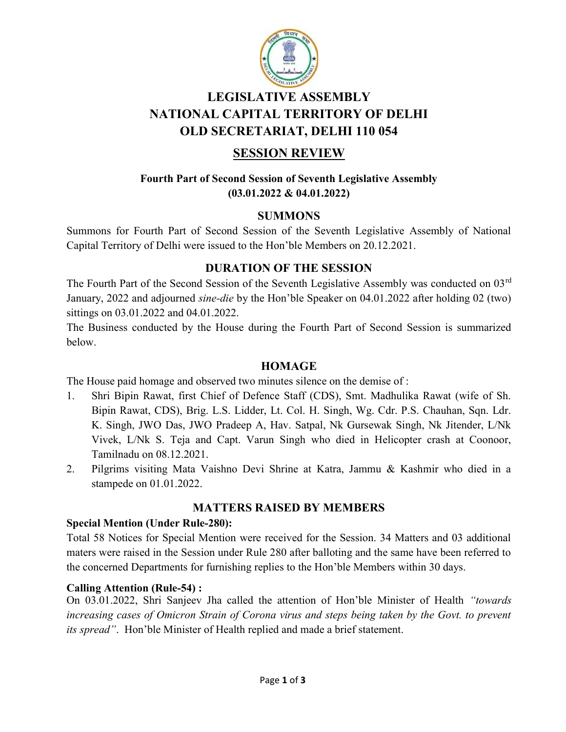

# LEGISLATIVE ASSEMBLY NATIONAL CAPITAL TERRITORY OF DELHI OLD SECRETARIAT, DELHI 110 054

# SESSION REVIEW

### Fourth Part of Second Session of Seventh Legislative Assembly (03.01.2022 & 04.01.2022)

### SUMMONS

Summons for Fourth Part of Second Session of the Seventh Legislative Assembly of National Capital Territory of Delhi were issued to the Hon'ble Members on 20.12.2021.

## DURATION OF THE SESSION

The Fourth Part of the Second Session of the Seventh Legislative Assembly was conducted on 03<sup>rd</sup> January, 2022 and adjourned sine-die by the Hon'ble Speaker on 04.01.2022 after holding 02 (two) sittings on 03.01.2022 and 04.01.2022.

The Business conducted by the House during the Fourth Part of Second Session is summarized below.

#### HOMAGE

The House paid homage and observed two minutes silence on the demise of :

- 1. Shri Bipin Rawat, first Chief of Defence Staff (CDS), Smt. Madhulika Rawat (wife of Sh. Bipin Rawat, CDS), Brig. L.S. Lidder, Lt. Col. H. Singh, Wg. Cdr. P.S. Chauhan, Sqn. Ldr. K. Singh, JWO Das, JWO Pradeep A, Hav. Satpal, Nk Gursewak Singh, Nk Jitender, L/Nk Vivek, L/Nk S. Teja and Capt. Varun Singh who died in Helicopter crash at Coonoor, Tamilnadu on 08.12.2021.
- 2. Pilgrims visiting Mata Vaishno Devi Shrine at Katra, Jammu & Kashmir who died in a stampede on 01.01.2022.

## MATTERS RAISED BY MEMBERS

#### Special Mention (Under Rule-280):

Total 58 Notices for Special Mention were received for the Session. 34 Matters and 03 additional maters were raised in the Session under Rule 280 after balloting and the same have been referred to the concerned Departments for furnishing replies to the Hon'ble Members within 30 days.

### Calling Attention (Rule-54) :

On 03.01.2022, Shri Sanjeev Jha called the attention of Hon'ble Minister of Health "towards increasing cases of Omicron Strain of Corona virus and steps being taken by the Govt. to prevent its spread". Hon'ble Minister of Health replied and made a brief statement.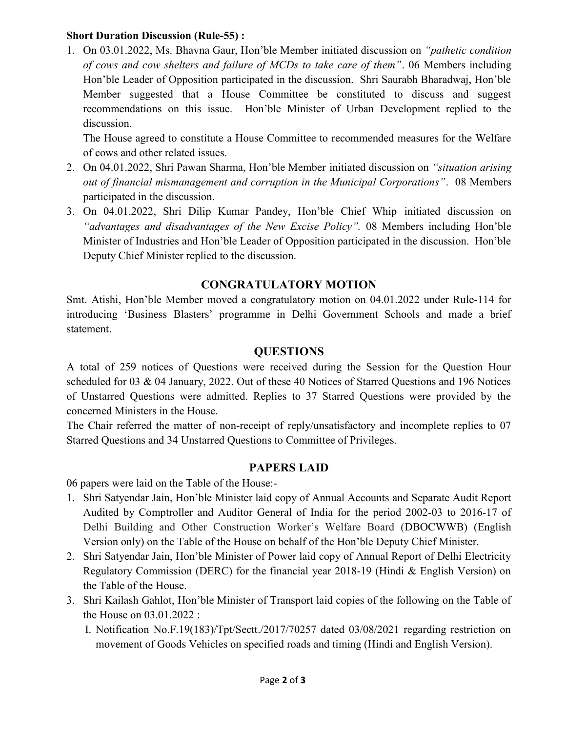#### Short Duration Discussion (Rule-55) :

1. On 03.01.2022, Ms. Bhavna Gaur, Hon'ble Member initiated discussion on "pathetic condition of cows and cow shelters and failure of MCDs to take care of them". 06 Members including Hon'ble Leader of Opposition participated in the discussion. Shri Saurabh Bharadwaj, Hon'ble Member suggested that a House Committee be constituted to discuss and suggest recommendations on this issue. Hon'ble Minister of Urban Development replied to the discussion.

The House agreed to constitute a House Committee to recommended measures for the Welfare of cows and other related issues.

- 2. On 04.01.2022, Shri Pawan Sharma, Hon'ble Member initiated discussion on "situation arising out of financial mismanagement and corruption in the Municipal Corporations". 08 Members participated in the discussion.
- 3. On 04.01.2022, Shri Dilip Kumar Pandey, Hon'ble Chief Whip initiated discussion on "advantages and disadvantages of the New Excise Policy". 08 Members including Hon'ble Minister of Industries and Hon'ble Leader of Opposition participated in the discussion. Hon'ble Deputy Chief Minister replied to the discussion.

### CONGRATULATORY MOTION

Smt. Atishi, Hon'ble Member moved a congratulatory motion on 04.01.2022 under Rule-114 for introducing 'Business Blasters' programme in Delhi Government Schools and made a brief statement.

#### **QUESTIONS**

A total of 259 notices of Questions were received during the Session for the Question Hour scheduled for 03 & 04 January, 2022. Out of these 40 Notices of Starred Questions and 196 Notices of Unstarred Questions were admitted. Replies to 37 Starred Questions were provided by the concerned Ministers in the House.

The Chair referred the matter of non-receipt of reply/unsatisfactory and incomplete replies to 07 Starred Questions and 34 Unstarred Questions to Committee of Privileges.

### PAPERS LAID

06 papers were laid on the Table of the House:-

- 1. Shri Satyendar Jain, Hon'ble Minister laid copy of Annual Accounts and Separate Audit Report Audited by Comptroller and Auditor General of India for the period 2002-03 to 2016-17 of Delhi Building and Other Construction Worker's Welfare Board (DBOCWWB) (English Version only) on the Table of the House on behalf of the Hon'ble Deputy Chief Minister.
- 2. Shri Satyendar Jain, Hon'ble Minister of Power laid copy of Annual Report of Delhi Electricity Regulatory Commission (DERC) for the financial year 2018-19 (Hindi & English Version) on the Table of the House.
- 3. Shri Kailash Gahlot, Hon'ble Minister of Transport laid copies of the following on the Table of the House on 03.01.2022 :
	- I. Notification No.F.19(183)/Tpt/Sectt./2017/70257 dated 03/08/2021 regarding restriction on movement of Goods Vehicles on specified roads and timing (Hindi and English Version).